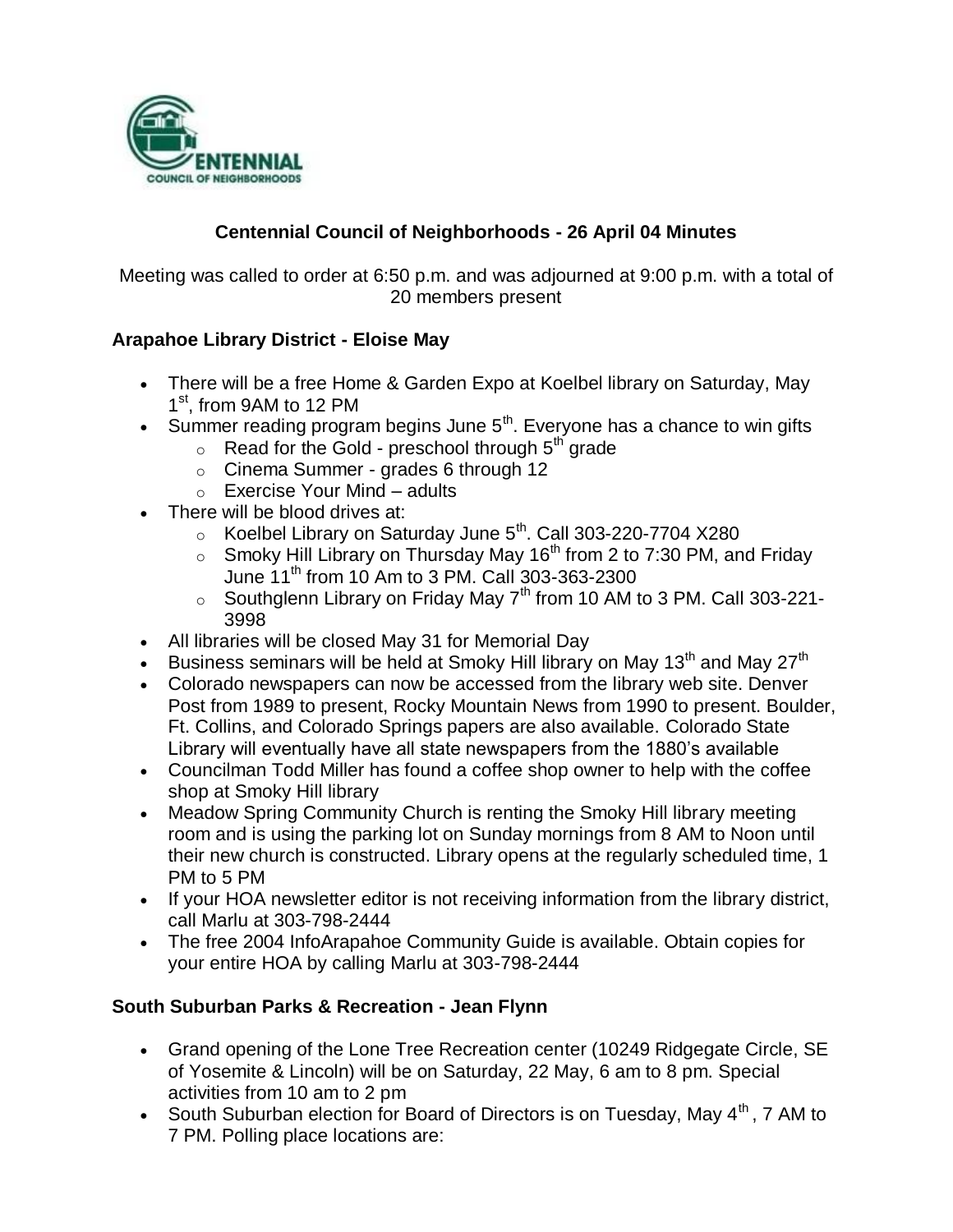

# **Centennial Council of Neighborhoods - 26 April 04 Minutes**

Meeting was called to order at 6:50 p.m. and was adjourned at 9:00 p.m. with a total of 20 members present

## **Arapahoe Library District - Eloise May**

- There will be a free Home & Garden Expo at Koelbel library on Saturday, May 1<sup>st</sup>, from 9AM to 12 PM
- Summer reading program begins June  $5<sup>th</sup>$ . Everyone has a chance to win gifts
	- $\circ$  Read for the Gold preschool through  $5<sup>th</sup>$  grade
	- $\circ$  Cinema Summer grades 6 through 12
	- $\circ$  Exercise Your Mind adults
- There will be blood drives at:
	- $\circ$  Koelbel Library on Saturday June 5<sup>th</sup>. Call 303-220-7704 X280
	- $\circ$  Smoky Hill Library on Thursday May 16<sup>th</sup> from 2 to 7:30 PM, and Friday June  $11^{th}$  from 10 Am to 3 PM. Call 303-363-2300
	- $\circ$  Southglenn Library on Friday May 7<sup>th</sup> from 10 AM to 3 PM. Call 303-221-3998
- All libraries will be closed May 31 for Memorial Day
- Business seminars will be held at Smoky Hill library on May 13<sup>th</sup> and May 27<sup>th</sup>
- Colorado newspapers can now be accessed from the library web site. Denver Post from 1989 to present, Rocky Mountain News from 1990 to present. Boulder, Ft. Collins, and Colorado Springs papers are also available. Colorado State Library will eventually have all state newspapers from the 1880's available
- Councilman Todd Miller has found a coffee shop owner to help with the coffee shop at Smoky Hill library
- Meadow Spring Community Church is renting the Smoky Hill library meeting room and is using the parking lot on Sunday mornings from 8 AM to Noon until their new church is constructed. Library opens at the regularly scheduled time, 1 PM to 5 PM
- If your HOA newsletter editor is not receiving information from the library district, call Marlu at 303-798-2444
- The free 2004 InfoArapahoe Community Guide is available. Obtain copies for your entire HOA by calling Marlu at 303-798-2444

## **South Suburban Parks & Recreation - Jean Flynn**

- Grand opening of the Lone Tree Recreation center (10249 Ridgegate Circle, SE of Yosemite & Lincoln) will be on Saturday, 22 May, 6 am to 8 pm. Special activities from 10 am to 2 pm
- South Suburban election for Board of Directors is on Tuesday, May  $4<sup>th</sup>$ , 7 AM to 7 PM. Polling place locations are: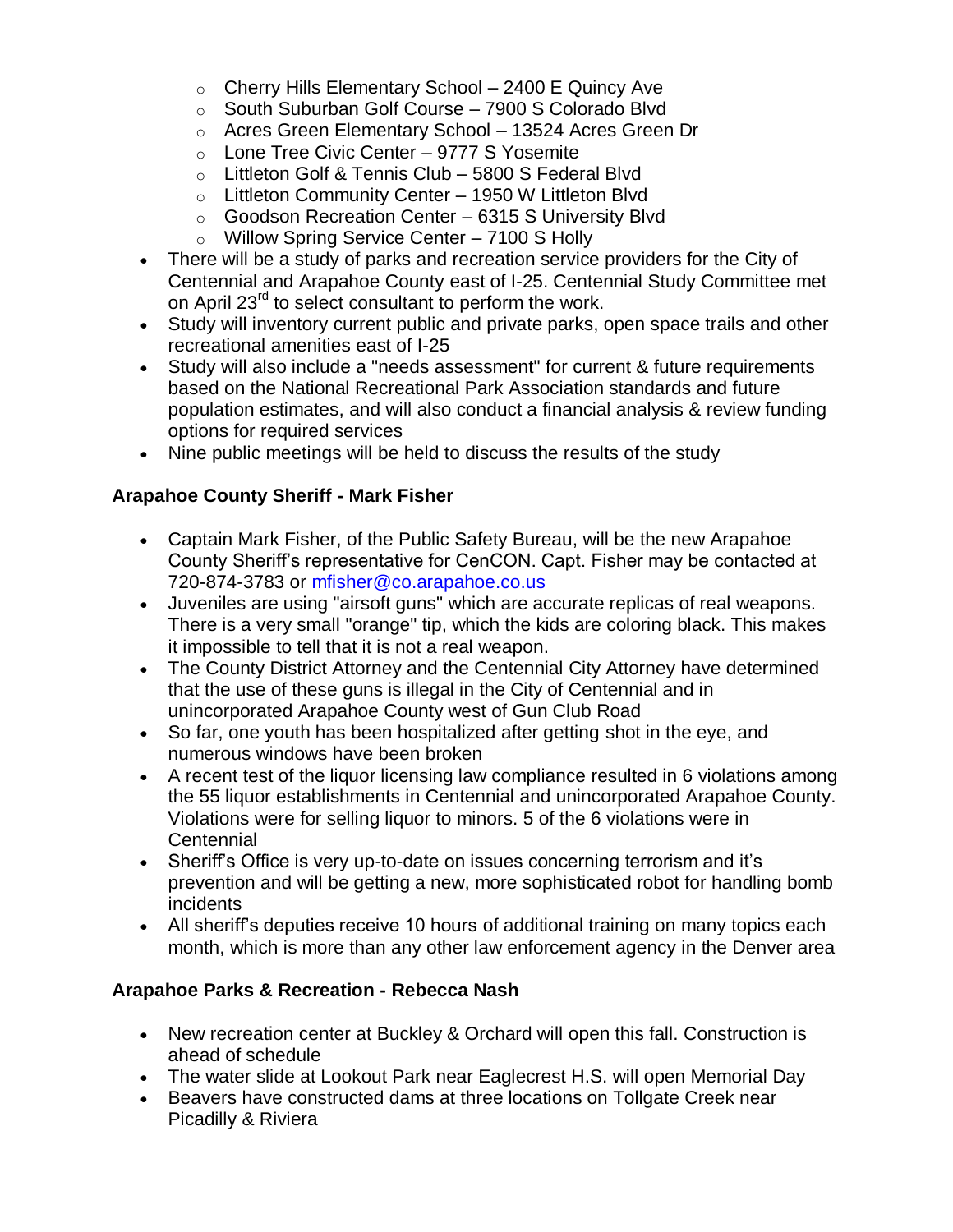- $\circ$  Cherry Hills Elementary School 2400 E Quincy Ave
- o South Suburban Golf Course 7900 S Colorado Blvd
- o Acres Green Elementary School 13524 Acres Green Dr
- $\circ$  Lone Tree Civic Center 9777 S Yosemite
- o Littleton Golf & Tennis Club 5800 S Federal Blvd
- o Littleton Community Center 1950 W Littleton Blvd
- o Goodson Recreation Center 6315 S University Blvd
- o Willow Spring Service Center 7100 S Holly
- There will be a study of parks and recreation service providers for the City of Centennial and Arapahoe County east of I-25. Centennial Study Committee met on April 23<sup>rd</sup> to select consultant to perform the work.
- Study will inventory current public and private parks, open space trails and other recreational amenities east of I-25
- Study will also include a "needs assessment" for current & future requirements based on the National Recreational Park Association standards and future population estimates, and will also conduct a financial analysis & review funding options for required services
- Nine public meetings will be held to discuss the results of the study

## **Arapahoe County Sheriff - Mark Fisher**

- Captain Mark Fisher, of the Public Safety Bureau, will be the new Arapahoe County Sheriff's representative for CenCON. Capt. Fisher may be contacted at 720-874-3783 or mfisher@co.arapahoe.co.us
- Juveniles are using "airsoft guns" which are accurate replicas of real weapons. There is a very small "orange" tip, which the kids are coloring black. This makes it impossible to tell that it is not a real weapon.
- The County District Attorney and the Centennial City Attorney have determined that the use of these guns is illegal in the City of Centennial and in unincorporated Arapahoe County west of Gun Club Road
- So far, one youth has been hospitalized after getting shot in the eye, and numerous windows have been broken
- A recent test of the liquor licensing law compliance resulted in 6 violations among the 55 liquor establishments in Centennial and unincorporated Arapahoe County. Violations were for selling liquor to minors. 5 of the 6 violations were in **Centennial**
- Sheriff's Office is very up-to-date on issues concerning terrorism and it's prevention and will be getting a new, more sophisticated robot for handling bomb incidents
- All sheriff's deputies receive 10 hours of additional training on many topics each month, which is more than any other law enforcement agency in the Denver area

#### **Arapahoe Parks & Recreation - Rebecca Nash**

- New recreation center at Buckley & Orchard will open this fall. Construction is ahead of schedule
- The water slide at Lookout Park near Eaglecrest H.S. will open Memorial Day
- Beavers have constructed dams at three locations on Tollgate Creek near Picadilly & Riviera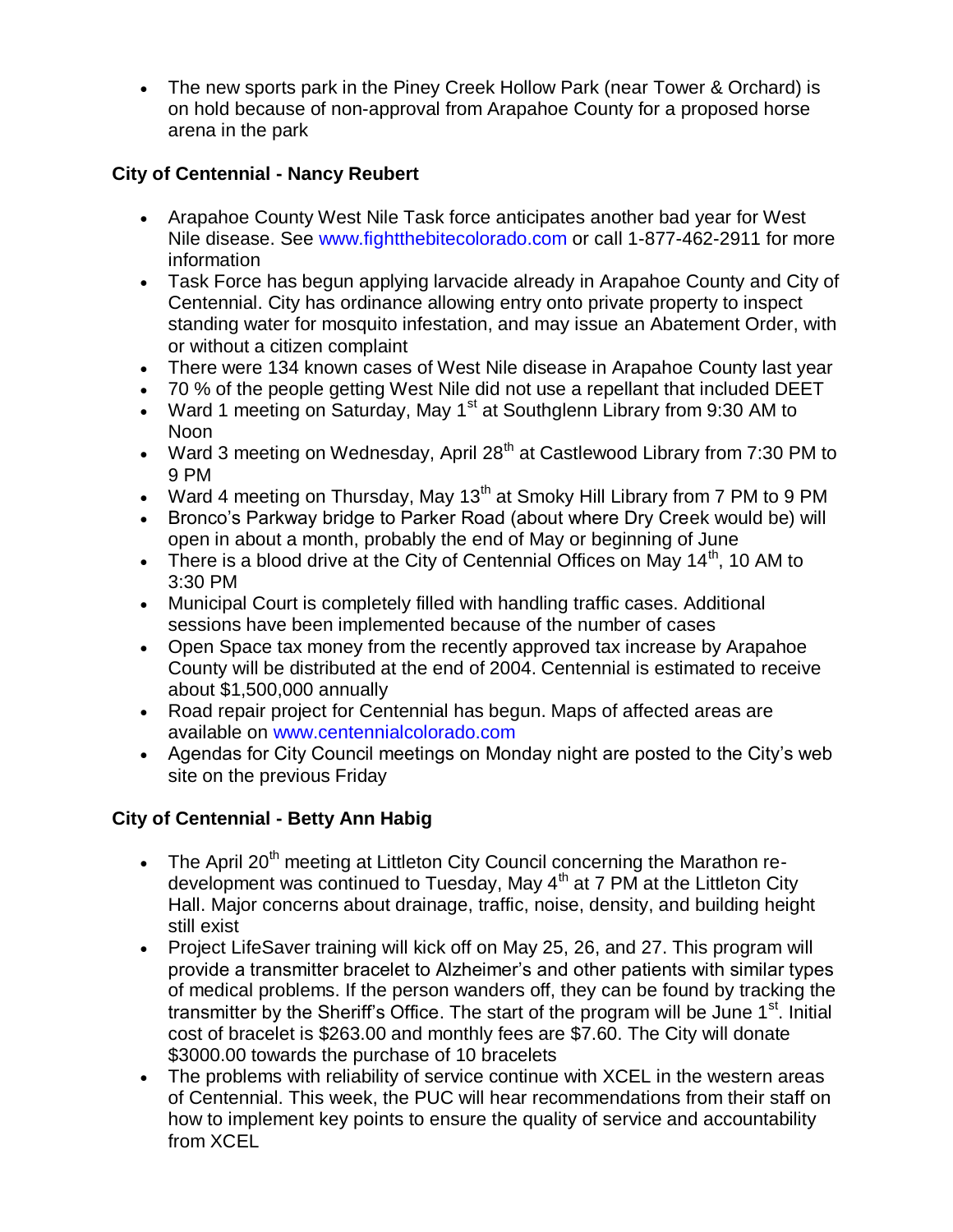The new sports park in the Piney Creek Hollow Park (near Tower & Orchard) is on hold because of non-approval from Arapahoe County for a proposed horse arena in the park

## **City of Centennial - Nancy Reubert**

- Arapahoe County West Nile Task force anticipates another bad year for West Nile disease. See www.fightthebitecolorado.com or call 1-877-462-2911 for more information
- Task Force has begun applying larvacide already in Arapahoe County and City of Centennial. City has ordinance allowing entry onto private property to inspect standing water for mosquito infestation, and may issue an Abatement Order, with or without a citizen complaint
- There were 134 known cases of West Nile disease in Arapahoe County last year
- 70 % of the people getting West Nile did not use a repellant that included DEET
- Ward 1 meeting on Saturday, May  $1<sup>st</sup>$  at Southglenn Library from 9:30 AM to Noon
- Ward 3 meeting on Wednesday, April  $28<sup>th</sup>$  at Castlewood Library from 7:30 PM to 9 PM
- Ward 4 meeting on Thursday, May 13<sup>th</sup> at Smoky Hill Library from 7 PM to 9 PM
- Bronco's Parkway bridge to Parker Road (about where Dry Creek would be) will open in about a month, probably the end of May or beginning of June
- There is a blood drive at the City of Centennial Offices on May  $14<sup>th</sup>$ , 10 AM to 3:30 PM
- Municipal Court is completely filled with handling traffic cases. Additional sessions have been implemented because of the number of cases
- Open Space tax money from the recently approved tax increase by Arapahoe County will be distributed at the end of 2004. Centennial is estimated to receive about \$1,500,000 annually
- Road repair project for Centennial has begun. Maps of affected areas are available on www.centennialcolorado.com
- Agendas for City Council meetings on Monday night are posted to the City's web site on the previous Friday

# **City of Centennial - Betty Ann Habig**

- The April 20<sup>th</sup> meeting at Littleton City Council concerning the Marathon redevelopment was continued to Tuesday, May 4<sup>th</sup> at 7 PM at the Littleton City Hall. Major concerns about drainage, traffic, noise, density, and building height still exist
- Project LifeSaver training will kick off on May 25, 26, and 27. This program will provide a transmitter bracelet to Alzheimer's and other patients with similar types of medical problems. If the person wanders off, they can be found by tracking the transmitter by the Sheriff's Office. The start of the program will be June 1<sup>st</sup>. Initial cost of bracelet is \$263.00 and monthly fees are \$7.60. The City will donate \$3000.00 towards the purchase of 10 bracelets
- The problems with reliability of service continue with XCEL in the western areas of Centennial. This week, the PUC will hear recommendations from their staff on how to implement key points to ensure the quality of service and accountability from XCEL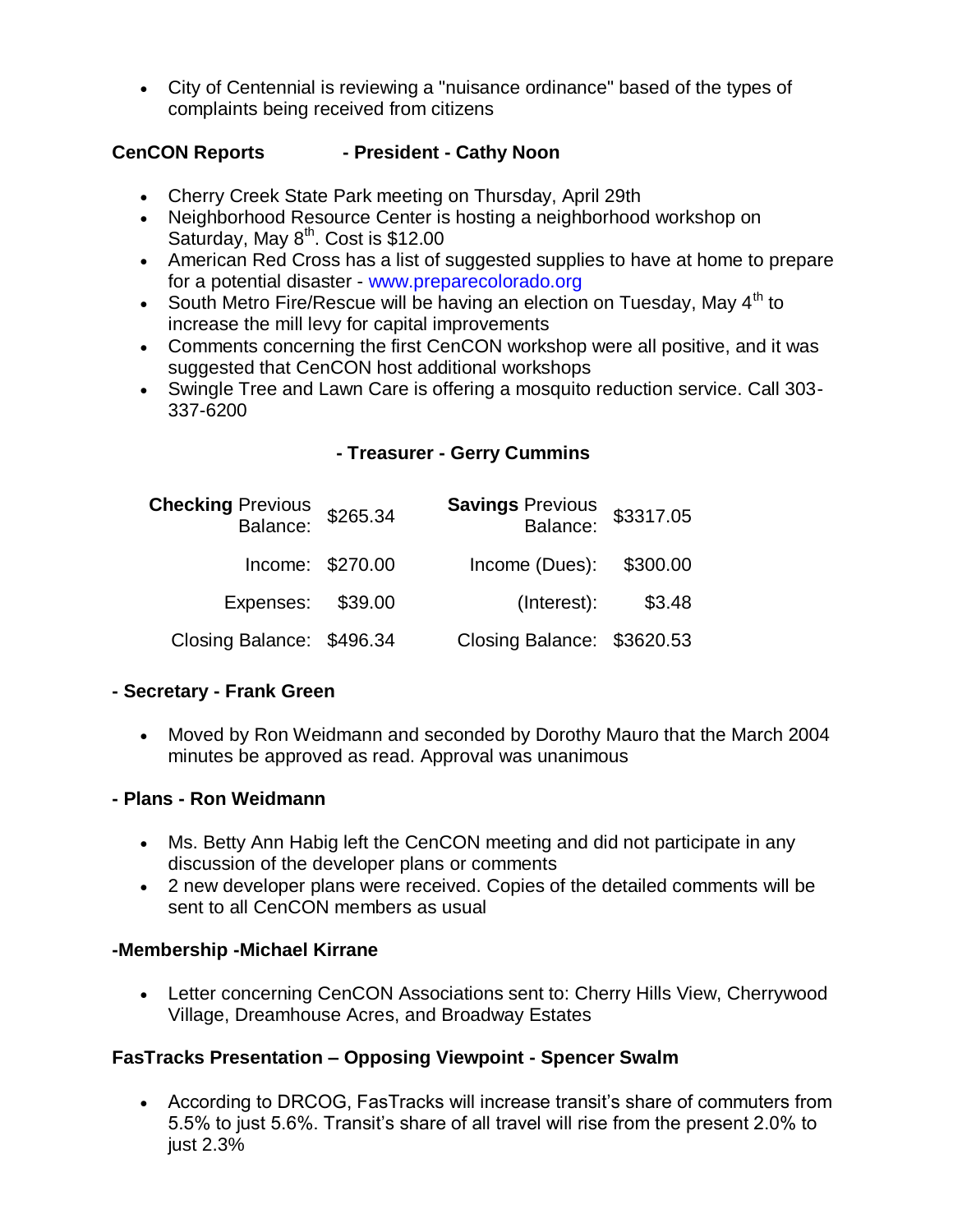City of Centennial is reviewing a "nuisance ordinance" based of the types of complaints being received from citizens

# **CenCON Reports - President - Cathy Noon**

- Cherry Creek State Park meeting on Thursday, April 29th
- Neighborhood Resource Center is hosting a neighborhood workshop on Saturday, May  $8<sup>th</sup>$ . Cost is \$12.00
- American Red Cross has a list of suggested supplies to have at home to prepare for a potential disaster - www.preparecolorado.org
- South Metro Fire/Rescue will be having an election on Tuesday, May  $4<sup>th</sup>$  to increase the mill levy for capital improvements
- Comments concerning the first CenCON workshop were all positive, and it was suggested that CenCON host additional workshops
- Swingle Tree and Lawn Care is offering a mosquito reduction service. Call 303- 337-6200

## **- Treasurer - Gerry Cummins**

| Checking Previous<br>Balance: \$265.34 |                  | <b>Savings Previous</b><br>:Balance | \$3317.05 |
|----------------------------------------|------------------|-------------------------------------|-----------|
|                                        | Income: \$270.00 | Income (Dues): \$300.00             |           |
| Expenses: \$39.00                      |                  | (Interest):                         | \$3.48    |
| Closing Balance: \$496.34              |                  | Closing Balance: \$3620.53          |           |

#### **- Secretary - Frank Green**

 Moved by Ron Weidmann and seconded by Dorothy Mauro that the March 2004 minutes be approved as read. Approval was unanimous

#### **- Plans - Ron Weidmann**

- Ms. Betty Ann Habig left the CenCON meeting and did not participate in any discussion of the developer plans or comments
- 2 new developer plans were received. Copies of the detailed comments will be sent to all CenCON members as usual

## **-Membership -Michael Kirrane**

• Letter concerning CenCON Associations sent to: Cherry Hills View, Cherrywood Village, Dreamhouse Acres, and Broadway Estates

## **FasTracks Presentation – Opposing Viewpoint - Spencer Swalm**

 According to DRCOG, FasTracks will increase transit's share of commuters from 5.5% to just 5.6%. Transit's share of all travel will rise from the present 2.0% to just 2.3%